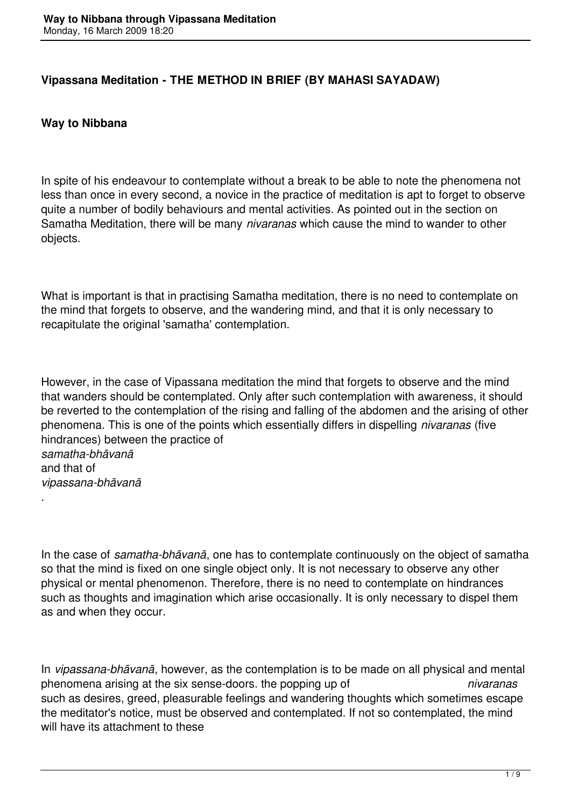### **Vipassana Meditation - THE METHOD IN BRIEF (BY MAHASI SAYADAW)**

### **Way to Nibbana**

.

In spite of his endeavour to contemplate without a break to be able to note the phenomena not less than once in every second, a novice in the practice of meditation is apt to forget to observe quite a number of bodily behaviours and mental activities. As pointed out in the section on Samatha Meditation, there will be many *nivaranas* which cause the mind to wander to other objects.

What is important is that in practising Samatha meditation, there is no need to contemplate on the mind that forgets to observe, and the wandering mind, and that it is only necessary to recapitulate the original 'samatha' contemplation.

However, in the case of Vipassana meditation the mind that forgets to observe and the mind that wanders should be contemplated. Only after such contemplation with awareness, it should be reverted to the contemplation of the rising and falling of the abdomen and the arising of other phenomena. This is one of the points which essentially differs in dispelling *nivaranas* (five hindrances) between the practice of *samatha-bhāvanā* and that of *vipassana-bhāvanā*

In the case of *samatha-bhāvanā*, one has to contemplate continuously on the object of samatha so that the mind is fixed on one single object only. It is not necessary to observe any other physical or mental phenomenon. Therefore, there is no need to contemplate on hindrances such as thoughts and imagination which arise occasionally. It is only necessary to dispel them as and when they occur.

In *vipassana-bhāvanā*, however, as the contemplation is to be made on all physical and mental phenomena arising at the six sense-doors. the popping up of *nivaranas* such as desires, greed, pleasurable feelings and wandering thoughts which sometimes escape the meditator's notice, must be observed and contemplated. If not so contemplated, the mind will have its attachment to these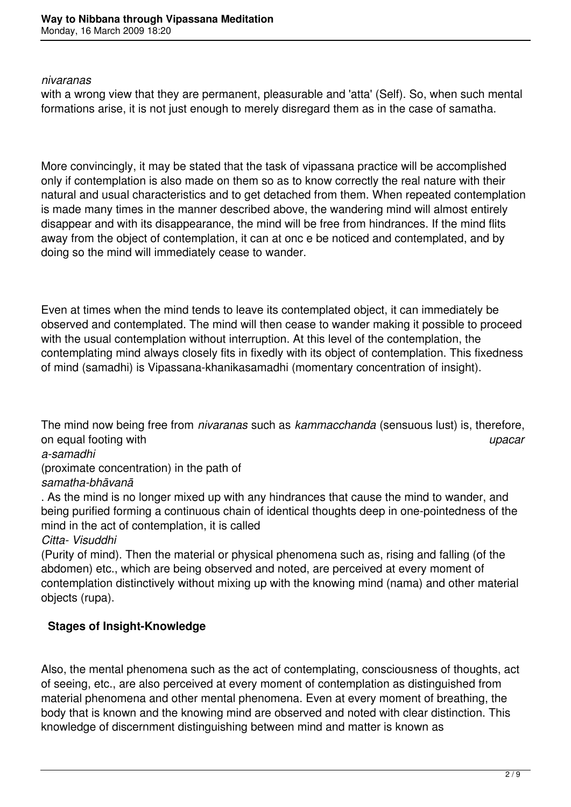#### *nivaranas*

with a wrong view that they are permanent, pleasurable and 'atta' (Self). So, when such mental formations arise, it is not just enough to merely disregard them as in the case of samatha.

More convincingly, it may be stated that the task of vipassana practice will be accomplished only if contemplation is also made on them so as to know correctly the real nature with their natural and usual characteristics and to get detached from them. When repeated contemplation is made many times in the manner described above, the wandering mind will almost entirely disappear and with its disappearance, the mind will be free from hindrances. If the mind flits away from the object of contemplation, it can at onc e be noticed and contemplated, and by doing so the mind will immediately cease to wander.

Even at times when the mind tends to leave its contemplated object, it can immediately be observed and contemplated. The mind will then cease to wander making it possible to proceed with the usual contemplation without interruption. At this level of the contemplation, the contemplating mind always closely fits in fixedly with its object of contemplation. This fixedness of mind (samadhi) is Vipassana-khanikasamadhi (momentary concentration of insight).

The mind now being free from *nivaranas* such as *kammacchanda* (sensuous lust) is, therefore, on equal footing with *upacar a-samadhi*  (proximate concentration) in the path of *samatha-bhāvanā*

. As the mind is no longer mixed up with any hindrances that cause the mind to wander, and being purified forming a continuous chain of identical thoughts deep in one-pointedness of the mind in the act of contemplation, it is called

#### *Citta- Visuddhi*

(Purity of mind). Then the material or physical phenomena such as, rising and falling (of the abdomen) etc., which are being observed and noted, are perceived at every moment of contemplation distinctively without mixing up with the knowing mind (nama) and other material objects (rupa).

# **Stages of Insight-Knowledge**

Also, the mental phenomena such as the act of contemplating, consciousness of thoughts, act of seeing, etc., are also perceived at every moment of contemplation as distinguished from material phenomena and other mental phenomena. Even at every moment of breathing, the body that is known and the knowing mind are observed and noted with clear distinction. This knowledge of discernment distinguishing between mind and matter is known as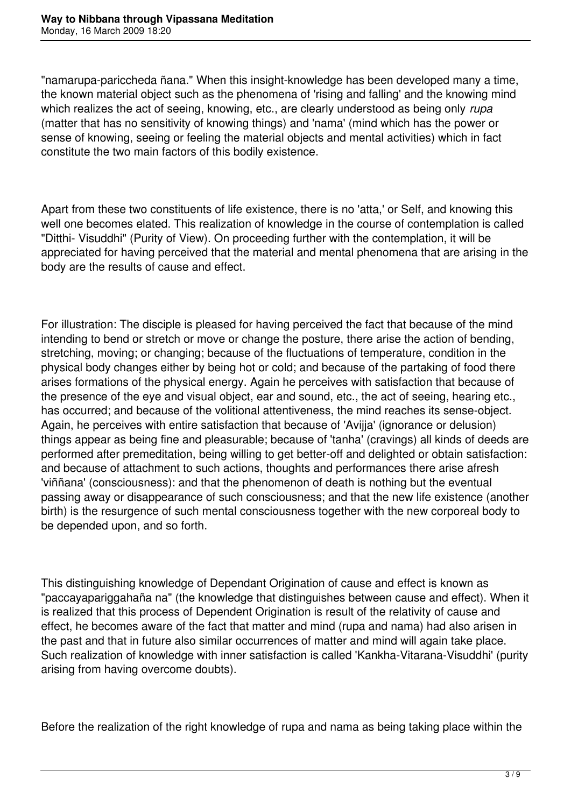"namarupa-pariccheda ñana." When this insight-knowledge has been developed many a time, the known material object such as the phenomena of 'rising and falling' and the knowing mind which realizes the act of seeing, knowing, etc., are clearly understood as being only *rupa* (matter that has no sensitivity of knowing things) and 'nama' (mind which has the power or sense of knowing, seeing or feeling the material objects and mental activities) which in fact constitute the two main factors of this bodily existence.

Apart from these two constituents of life existence, there is no 'atta,' or Self, and knowing this well one becomes elated. This realization of knowledge in the course of contemplation is called "Ditthi- Visuddhi" (Purity of View). On proceeding further with the contemplation, it will be appreciated for having perceived that the material and mental phenomena that are arising in the body are the results of cause and effect.

For illustration: The disciple is pleased for having perceived the fact that because of the mind intending to bend or stretch or move or change the posture, there arise the action of bending, stretching, moving; or changing; because of the fluctuations of temperature, condition in the physical body changes either by being hot or cold; and because of the partaking of food there arises formations of the physical energy. Again he perceives with satisfaction that because of the presence of the eye and visual object, ear and sound, etc., the act of seeing, hearing etc., has occurred; and because of the volitional attentiveness, the mind reaches its sense-object. Again, he perceives with entire satisfaction that because of 'Avijja' (ignorance or delusion) things appear as being fine and pleasurable; because of 'tanha' (cravings) all kinds of deeds are performed after premeditation, being willing to get better-off and delighted or obtain satisfaction: and because of attachment to such actions, thoughts and performances there arise afresh 'viññana' (consciousness): and that the phenomenon of death is nothing but the eventual passing away or disappearance of such consciousness; and that the new life existence (another birth) is the resurgence of such mental consciousness together with the new corporeal body to be depended upon, and so forth.

This distinguishing knowledge of Dependant Origination of cause and effect is known as "paccayapariggahaña na" (the knowledge that distinguishes between cause and effect). When it is realized that this process of Dependent Origination is result of the relativity of cause and effect, he becomes aware of the fact that matter and mind (rupa and nama) had also arisen in the past and that in future also similar occurrences of matter and mind will again take place. Such realization of knowledge with inner satisfaction is called 'Kankha-Vitarana-Visuddhi' (purity arising from having overcome doubts).

Before the realization of the right knowledge of rupa and nama as being taking place within the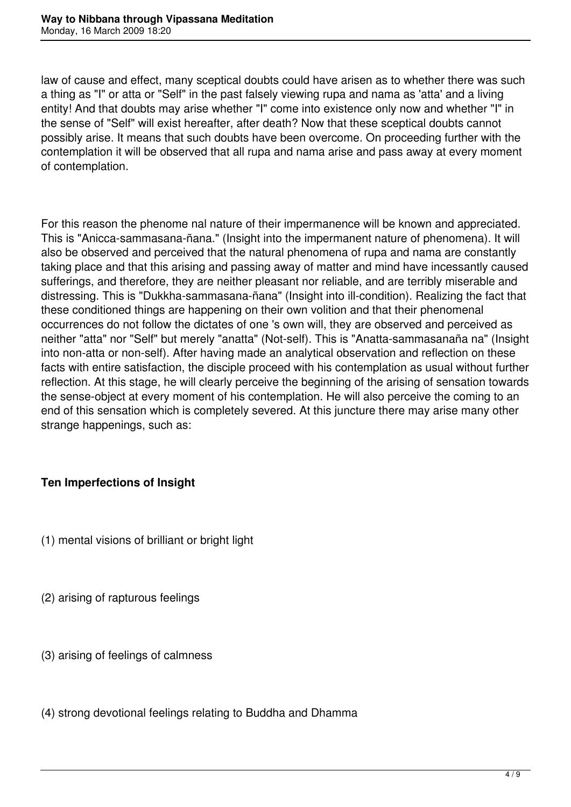law of cause and effect, many sceptical doubts could have arisen as to whether there was such a thing as "I" or atta or "Self" in the past falsely viewing rupa and nama as 'atta' and a living entity! And that doubts may arise whether "I" come into existence only now and whether "I" in the sense of "Self" will exist hereafter, after death? Now that these sceptical doubts cannot possibly arise. It means that such doubts have been overcome. On proceeding further with the contemplation it will be observed that all rupa and nama arise and pass away at every moment of contemplation.

For this reason the phenome nal nature of their impermanence will be known and appreciated. This is "Anicca-sammasana-ñana." (Insight into the impermanent nature of phenomena). It will also be observed and perceived that the natural phenomena of rupa and nama are constantly taking place and that this arising and passing away of matter and mind have incessantly caused sufferings, and therefore, they are neither pleasant nor reliable, and are terribly miserable and distressing. This is "Dukkha-sammasana-ñana" (Insight into ill-condition). Realizing the fact that these conditioned things are happening on their own volition and that their phenomenal occurrences do not follow the dictates of one 's own will, they are observed and perceived as neither "atta" nor "Self" but merely "anatta" (Not-self). This is "Anatta-sammasanaña na" (Insight into non-atta or non-self). After having made an analytical observation and reflection on these facts with entire satisfaction, the disciple proceed with his contemplation as usual without further reflection. At this stage, he will clearly perceive the beginning of the arising of sensation towards the sense-object at every moment of his contemplation. He will also perceive the coming to an end of this sensation which is completely severed. At this juncture there may arise many other strange happenings, such as:

# **Ten Imperfections of Insight**

- (1) mental visions of brilliant or bright light
- (2) arising of rapturous feelings
- (3) arising of feelings of calmness
- (4) strong devotional feelings relating to Buddha and Dhamma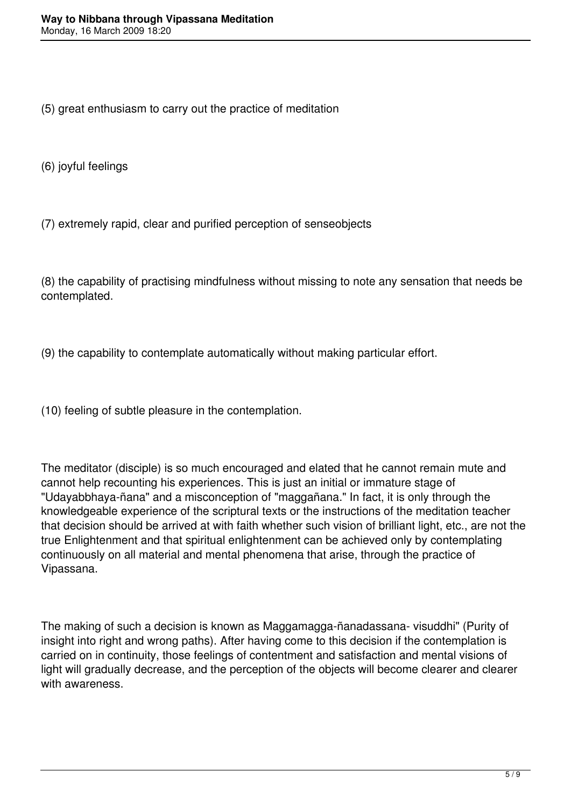(5) great enthusiasm to carry out the practice of meditation

(6) joyful feelings

(7) extremely rapid, clear and purified perception of senseobjects

(8) the capability of practising mindfulness without missing to note any sensation that needs be contemplated.

(9) the capability to contemplate automatically without making particular effort.

(10) feeling of subtle pleasure in the contemplation.

The meditator (disciple) is so much encouraged and elated that he cannot remain mute and cannot help recounting his experiences. This is just an initial or immature stage of "Udayabbhaya-ñana" and a misconception of "maggañana." In fact, it is only through the knowledgeable experience of the scriptural texts or the instructions of the meditation teacher that decision should be arrived at with faith whether such vision of brilliant light, etc., are not the true Enlightenment and that spiritual enlightenment can be achieved only by contemplating continuously on all material and mental phenomena that arise, through the practice of Vipassana.

The making of such a decision is known as Maggamagga-ñanadassana- visuddhi" (Purity of insight into right and wrong paths). After having come to this decision if the contemplation is carried on in continuity, those feelings of contentment and satisfaction and mental visions of light will gradually decrease, and the perception of the objects will become clearer and clearer with awareness.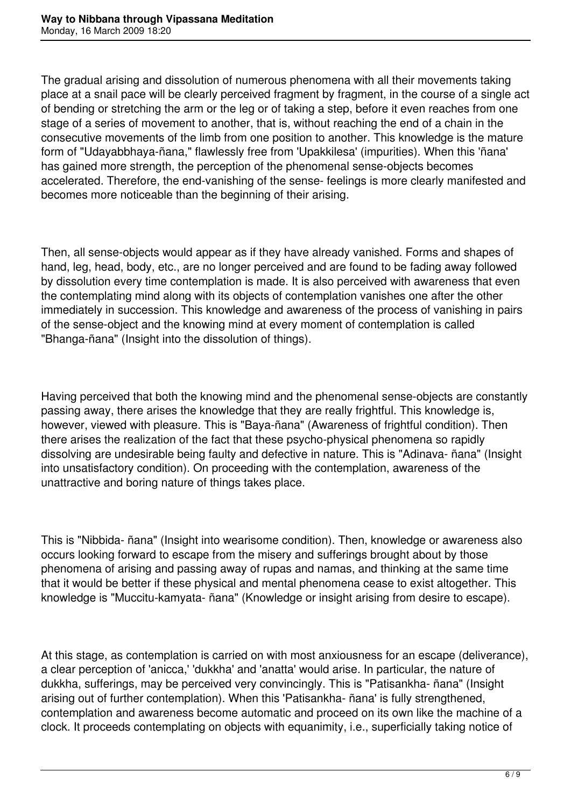The gradual arising and dissolution of numerous phenomena with all their movements taking place at a snail pace will be clearly perceived fragment by fragment, in the course of a single act of bending or stretching the arm or the leg or of taking a step, before it even reaches from one stage of a series of movement to another, that is, without reaching the end of a chain in the consecutive movements of the limb from one position to another. This knowledge is the mature form of "Udayabbhaya-ñana," flawlessly free from 'Upakkilesa' (impurities). When this 'ñana' has gained more strength, the perception of the phenomenal sense-objects becomes accelerated. Therefore, the end-vanishing of the sense- feelings is more clearly manifested and becomes more noticeable than the beginning of their arising.

Then, all sense-objects would appear as if they have already vanished. Forms and shapes of hand, leg, head, body, etc., are no longer perceived and are found to be fading away followed by dissolution every time contemplation is made. It is also perceived with awareness that even the contemplating mind along with its objects of contemplation vanishes one after the other immediately in succession. This knowledge and awareness of the process of vanishing in pairs of the sense-object and the knowing mind at every moment of contemplation is called "Bhanga-ñana" (Insight into the dissolution of things).

Having perceived that both the knowing mind and the phenomenal sense-objects are constantly passing away, there arises the knowledge that they are really frightful. This knowledge is, however, viewed with pleasure. This is "Baya-ñana" (Awareness of frightful condition). Then there arises the realization of the fact that these psycho-physical phenomena so rapidly dissolving are undesirable being faulty and defective in nature. This is "Adinava- ñana" (Insight into unsatisfactory condition). On proceeding with the contemplation, awareness of the unattractive and boring nature of things takes place.

This is "Nibbida- ñana" (Insight into wearisome condition). Then, knowledge or awareness also occurs looking forward to escape from the misery and sufferings brought about by those phenomena of arising and passing away of rupas and namas, and thinking at the same time that it would be better if these physical and mental phenomena cease to exist altogether. This knowledge is "Muccitu-kamyata- ñana" (Knowledge or insight arising from desire to escape).

At this stage, as contemplation is carried on with most anxiousness for an escape (deliverance), a clear perception of 'anicca,' 'dukkha' and 'anatta' would arise. In particular, the nature of dukkha, sufferings, may be perceived very convincingly. This is "Patisankha- ñana" (Insight arising out of further contemplation). When this 'Patisankha- ñana' is fully strengthened, contemplation and awareness become automatic and proceed on its own like the machine of a clock. It proceeds contemplating on objects with equanimity, i.e., superficially taking notice of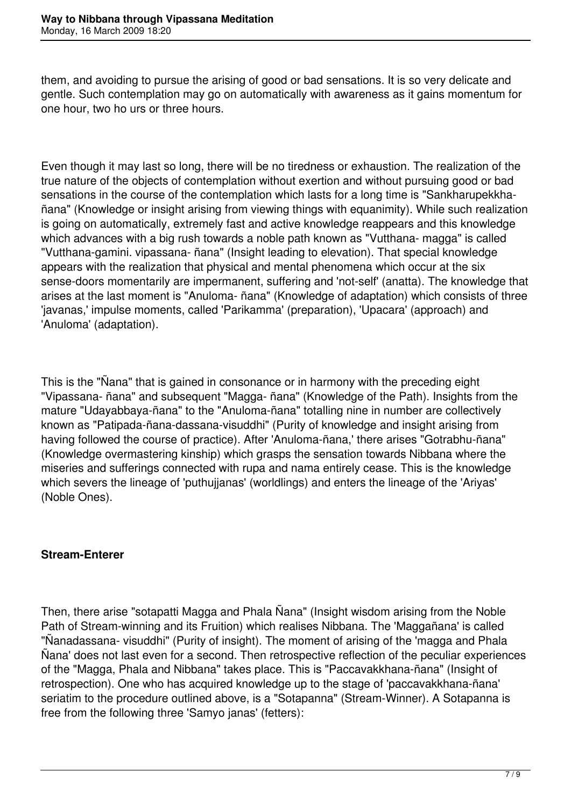them, and avoiding to pursue the arising of good or bad sensations. It is so very delicate and gentle. Such contemplation may go on automatically with awareness as it gains momentum for one hour, two ho urs or three hours.

Even though it may last so long, there will be no tiredness or exhaustion. The realization of the true nature of the objects of contemplation without exertion and without pursuing good or bad sensations in the course of the contemplation which lasts for a long time is "Sankharupekkhañana" (Knowledge or insight arising from viewing things with equanimity). While such realization is going on automatically, extremely fast and active knowledge reappears and this knowledge which advances with a big rush towards a noble path known as "Vutthana- magga" is called "Vutthana-gamini. vipassana- ñana" (Insight leading to elevation). That special knowledge appears with the realization that physical and mental phenomena which occur at the six sense-doors momentarily are impermanent, suffering and 'not-self' (anatta). The knowledge that arises at the last moment is "Anuloma- ñana" (Knowledge of adaptation) which consists of three 'javanas,' impulse moments, called 'Parikamma' (preparation), 'Upacara' (approach) and 'Anuloma' (adaptation).

This is the "Nana" that is gained in consonance or in harmony with the preceding eight "Vipassana- ñana" and subsequent "Magga- ñana" (Knowledge of the Path). Insights from the mature "Udayabbaya-ñana" to the "Anuloma-ñana" totalling nine in number are collectively known as "Patipada-ñana-dassana-visuddhi" (Purity of knowledge and insight arising from having followed the course of practice). After 'Anuloma-ñana,' there arises "Gotrabhu-ñana" (Knowledge overmastering kinship) which grasps the sensation towards Nibbana where the miseries and sufferings connected with rupa and nama entirely cease. This is the knowledge which severs the lineage of 'puthujjanas' (worldlings) and enters the lineage of the 'Ariyas' (Noble Ones).

# **Stream-Enterer**

Then, there arise "sotapatti Magga and Phala Ñana" (Insight wisdom arising from the Noble Path of Stream-winning and its Fruition) which realises Nibbana. The 'Maggañana' is called "Ñanadassana- visuddhi" (Purity of insight). The moment of arising of the 'magga and Phala Ñana' does not last even for a second. Then retrospective reflection of the peculiar experiences of the "Magga, Phala and Nibbana" takes place. This is "Paccavakkhana-ñana" (Insight of retrospection). One who has acquired knowledge up to the stage of 'paccavakkhana-ñana' seriatim to the procedure outlined above, is a "Sotapanna" (Stream-Winner). A Sotapanna is free from the following three 'Samyo janas' (fetters):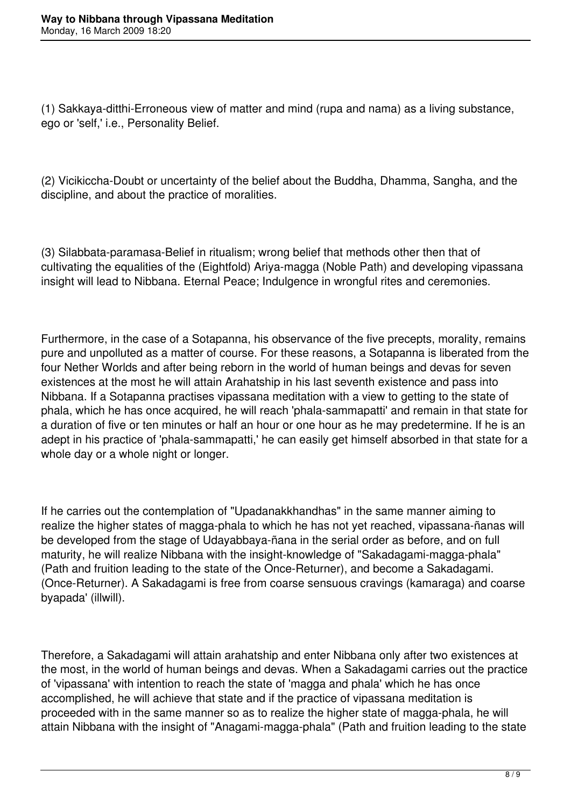(1) Sakkaya-ditthi-Erroneous view of matter and mind (rupa and nama) as a living substance, ego or 'self,' i.e., Personality Belief.

(2) Vicikiccha-Doubt or uncertainty of the belief about the Buddha, Dhamma, Sangha, and the discipline, and about the practice of moralities.

(3) Silabbata-paramasa-Belief in ritualism; wrong belief that methods other then that of cultivating the equalities of the (Eightfold) Ariya-magga (Noble Path) and developing vipassana insight will lead to Nibbana. Eternal Peace; Indulgence in wrongful rites and ceremonies.

Furthermore, in the case of a Sotapanna, his observance of the five precepts, morality, remains pure and unpolluted as a matter of course. For these reasons, a Sotapanna is liberated from the four Nether Worlds and after being reborn in the world of human beings and devas for seven existences at the most he will attain Arahatship in his last seventh existence and pass into Nibbana. If a Sotapanna practises vipassana meditation with a view to getting to the state of phala, which he has once acquired, he will reach 'phala-sammapatti' and remain in that state for a duration of five or ten minutes or half an hour or one hour as he may predetermine. If he is an adept in his practice of 'phala-sammapatti,' he can easily get himself absorbed in that state for a whole day or a whole night or longer.

If he carries out the contemplation of "Upadanakkhandhas" in the same manner aiming to realize the higher states of magga-phala to which he has not yet reached, vipassana-ñanas will be developed from the stage of Udayabbaya-ñana in the serial order as before, and on full maturity, he will realize Nibbana with the insight-knowledge of "Sakadagami-magga-phala" (Path and fruition leading to the state of the Once-Returner), and become a Sakadagami. (Once-Returner). A Sakadagami is free from coarse sensuous cravings (kamaraga) and coarse byapada' (illwill).

Therefore, a Sakadagami will attain arahatship and enter Nibbana only after two existences at the most, in the world of human beings and devas. When a Sakadagami carries out the practice of 'vipassana' with intention to reach the state of 'magga and phala' which he has once accomplished, he will achieve that state and if the practice of vipassana meditation is proceeded with in the same manner so as to realize the higher state of magga-phala, he will attain Nibbana with the insight of "Anagami-magga-phala" (Path and fruition leading to the state